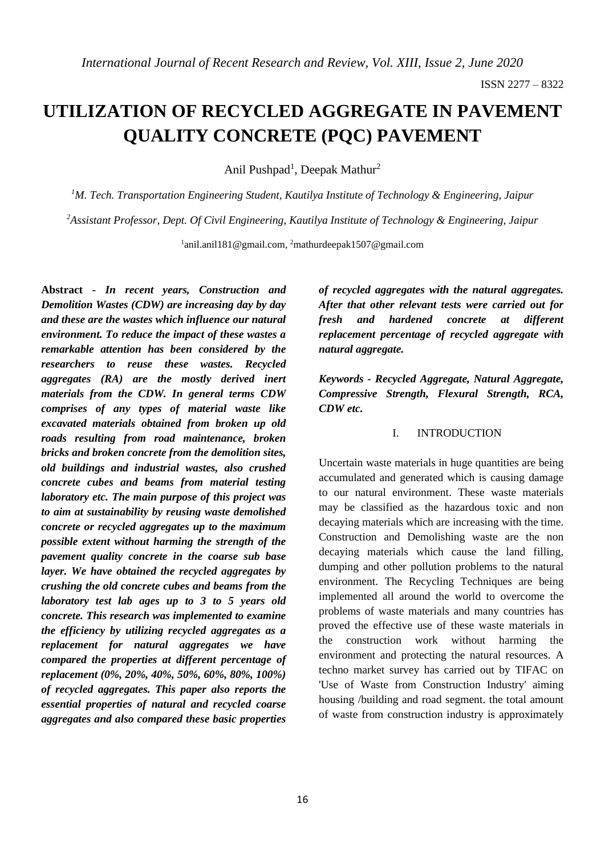# **UTILIZATION OF RECYCLED AGGREGATE IN PAVEMENT QUALITY CONCRETE (PQC) PAVEMENT**

Anil Pushpad<sup>1</sup>, Deepak Mathur<sup>2</sup>

*<sup>1</sup>M. Tech. Transportation Engineering Student, Kautilya Institute of Technology & Engineering, Jaipur*

*<sup>2</sup>Assistant Professor, Dept. Of Civil Engineering, Kautilya Institute of Technology & Engineering, Jaipur*

<sup>1</sup>anil.anil181@gmail.com, <sup>2</sup>mathurdeepak1507@gmail.com

**Abstract -** *In recent years, Construction and Demolition Wastes (CDW) are increasing day by day and these are the wastes which influence our natural environment. To reduce the impact of these wastes a remarkable attention has been considered by the researchers to reuse these wastes. Recycled aggregates (RA) are the mostly derived inert materials from the CDW. In general terms CDW comprises of any types of material waste like excavated materials obtained from broken up old roads resulting from road maintenance, broken bricks and broken concrete from the demolition sites, old buildings and industrial wastes, also crushed concrete cubes and beams from material testing laboratory etc. The main purpose of this project was to aim at sustainability by reusing waste demolished concrete or recycled aggregates up to the maximum possible extent without harming the strength of the pavement quality concrete in the coarse sub base layer. We have obtained the recycled aggregates by crushing the old concrete cubes and beams from the laboratory test lab ages up to 3 to 5 years old concrete. This research was implemented to examine the efficiency by utilizing recycled aggregates as a replacement for natural aggregates we have compared the properties at different percentage of replacement (0%, 20%, 40%, 50%, 60%, 80%, 100%) of recycled aggregates. This paper also reports the essential properties of natural and recycled coarse aggregates and also compared these basic properties* 

*of recycled aggregates with the natural aggregates. After that other relevant tests were carried out for fresh and hardened concrete at different replacement percentage of recycled aggregate with natural aggregate.*

*Keywords - Recycled Aggregate, Natural Aggregate, Compressive Strength, Flexural Strength, RCA, CDW etc.*

## I. INTRODUCTION

Uncertain waste materials in huge quantities are being accumulated and generated which is causing damage to our natural environment. These waste materials may be classified as the hazardous toxic and non decaying materials which are increasing with the time. Construction and Demolishing waste are the non decaying materials which cause the land filling, dumping and other pollution problems to the natural environment. The Recycling Techniques are being implemented all around the world to overcome the problems of waste materials and many countries has proved the effective use of these waste materials in the construction work without harming the environment and protecting the natural resources. A techno market survey has carried out by TIFAC on 'Use of Waste from Construction Industry' aiming housing /building and road segment. the total amount of waste from construction industry is approximately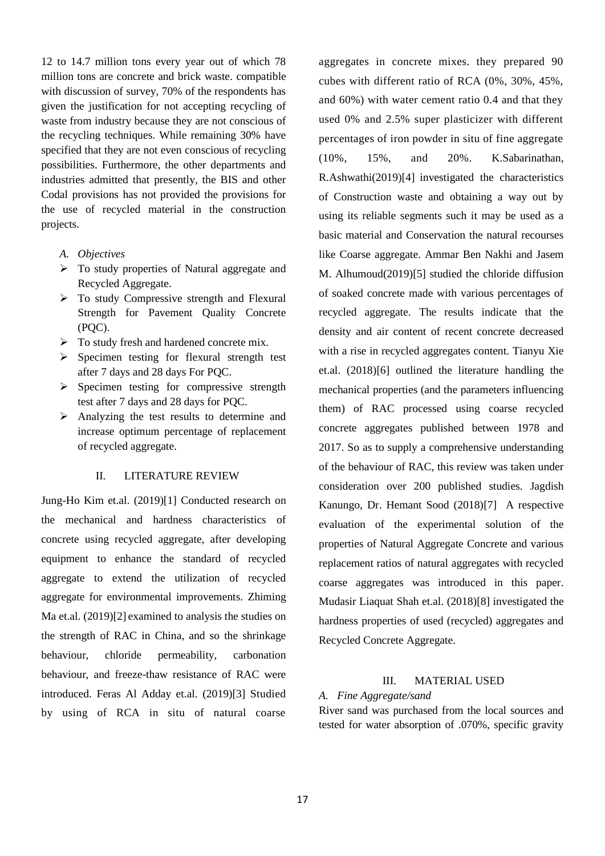12 to 14.7 million tons every year out of which 78 million tons are concrete and brick waste. compatible with discussion of survey, 70% of the respondents has given the justification for not accepting recycling of waste from industry because they are not conscious of the recycling techniques. While remaining 30% have specified that they are not even conscious of recycling possibilities. Furthermore, the other departments and industries admitted that presently, the BIS and other Codal provisions has not provided the provisions for the use of recycled material in the construction projects.

- *A. Objectives*
- ➢ To study properties of Natural aggregate and Recycled Aggregate.
- ➢ To study Compressive strength and Flexural Strength for Pavement Quality Concrete (PQC).
- $\triangleright$  To study fresh and hardened concrete mix.
- ➢ Specimen testing for flexural strength test after 7 days and 28 days For PQC.
- $\triangleright$  Specimen testing for compressive strength test after 7 days and 28 days for PQC.
- ➢ Analyzing the test results to determine and increase optimum percentage of replacement of recycled aggregate.

#### II. LITERATURE REVIEW

Jung-Ho Kim et.al. (2019)[1] Conducted research on the mechanical and hardness characteristics of concrete using recycled aggregate, after developing equipment to enhance the standard of recycled aggregate to extend the utilization of recycled aggregate for environmental improvements. Zhiming Ma et.al. (2019)[2] examined to analysis the studies on the strength of RAC in China, and so the shrinkage behaviour, chloride permeability, carbonation behaviour, and freeze-thaw resistance of RAC were introduced. Feras Al Adday et.al. (2019)[3] Studied by using of RCA in situ of natural coarse

aggregates in concrete mixes. they prepared 90 cubes with different ratio of RCA (0%, 30%, 45%, and 60%) with water cement ratio 0.4 and that they used 0% and 2.5% super plasticizer with different percentages of iron powder in situ of fine aggregate (10%, 15%, and 20%. K.Sabarinathan, R.Ashwathi(2019)[4] investigated the characteristics of Construction waste and obtaining a way out by using its reliable segments such it may be used as a basic material and Conservation the natural recourses like Coarse aggregate. Ammar Ben Nakhi and Jasem M. Alhumoud(2019)[5] studied the chloride diffusion of soaked concrete made with various percentages of recycled aggregate. The results indicate that the density and air content of recent concrete decreased with a rise in recycled aggregates content. Tianyu Xie et.al. (2018)[6] outlined the literature handling the mechanical properties (and the parameters influencing them) of RAC processed using coarse recycled concrete aggregates published between 1978 and 2017. So as to supply a comprehensive understanding of the behaviour of RAC, this review was taken under consideration over 200 published studies. Jagdish Kanungo, Dr. Hemant Sood (2018)[7] A respective evaluation of the experimental solution of the properties of Natural Aggregate Concrete and various replacement ratios of natural aggregates with recycled coarse aggregates was introduced in this paper. Mudasir Liaquat Shah et.al. (2018)[8] investigated the hardness properties of used (recycled) aggregates and Recycled Concrete Aggregate.

#### III. MATERIAL USED

#### *A. Fine Aggregate/sand*

River sand was purchased from the local sources and tested for water absorption of .070%, specific gravity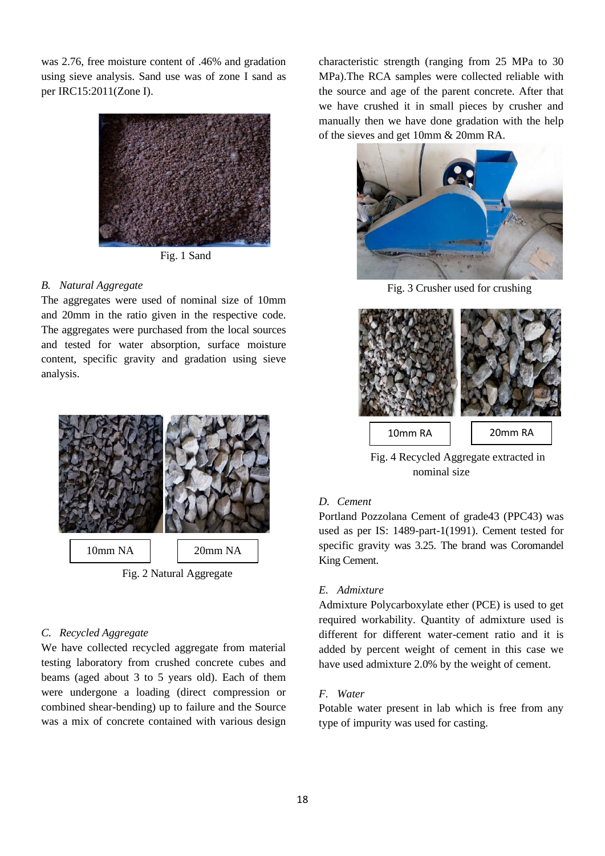was 2.76, free moisture content of .46% and gradation using sieve analysis. Sand use was of zone I sand as per IRC15:2011(Zone I).



Fig. 1 Sand

#### *B. Natural Aggregate*

The aggregates were used of nominal size of 10mm and 20mm in the ratio given in the respective code. The aggregates were purchased from the local sources and tested for water absorption, surface moisture content, specific gravity and gradation using sieve analysis.



Fig. 2 Natural Aggregate

#### *C. Recycled Aggregate*

We have collected recycled aggregate from material testing laboratory from crushed concrete cubes and beams (aged about 3 to 5 years old). Each of them were undergone a loading (direct compression or combined shear-bending) up to failure and the Source was a mix of concrete contained with various design characteristic strength (ranging from 25 MPa to 30 MPa).The RCA samples were collected reliable with the source and age of the parent concrete. After that we have crushed it in small pieces by crusher and manually then we have done gradation with the help of the sieves and get 10mm & 20mm RA.



Fig. 3 Crusher used for crushing



 Fig. 4 Recycled Aggregate extracted in nominal size

# *D. Cement*

Portland Pozzolana Cement of grade43 (PPC43) was used as per IS: 1489-part-1(1991). Cement tested for specific gravity was 3.25. The brand was Coromandel King Cement.

# *E. Admixture*

Admixture Polycarboxylate ether (PCE) is used to get required workability. Quantity of admixture used is different for different water-cement ratio and it is added by percent weight of cement in this case we have used admixture 2.0% by the weight of cement.

# *F. Water*

Potable water present in lab which is free from any type of impurity was used for casting.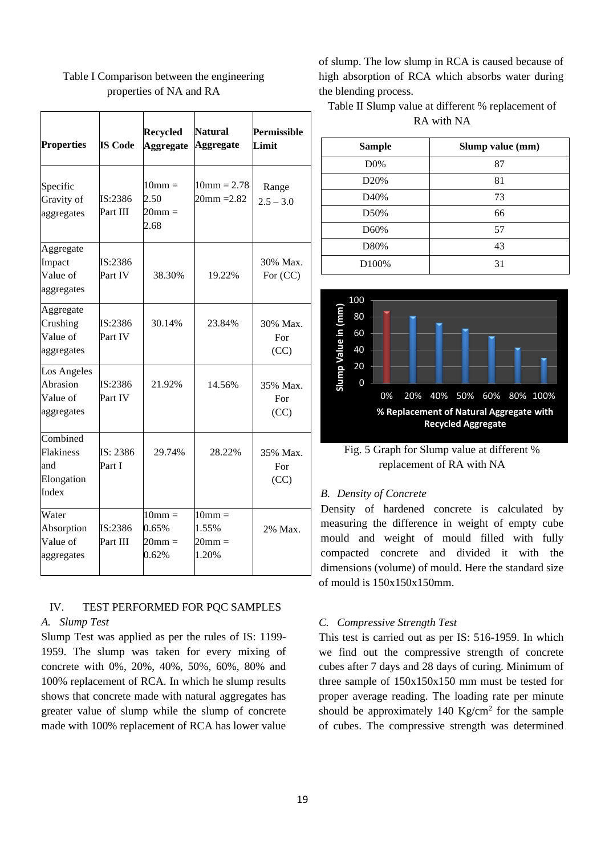| <b>Properties</b>                                   | <b>IS Code</b>      | <b>Recycled</b><br><b>Aggregate</b>               | <b>Natural</b><br><b>Aggregate</b>                     | Permissible<br>Limit    |
|-----------------------------------------------------|---------------------|---------------------------------------------------|--------------------------------------------------------|-------------------------|
| Specific<br>Gravity of<br>aggregates                | IS:2386<br>Part III | $10mm =$<br>2.50<br>$20 \text{mm} =$<br>2.68      | $10mm = 2.78$<br>$20mm = 2.82$                         | Range<br>$2.5 - 3.0$    |
| Aggregate<br>Impact<br>Value of<br>aggregates       | IS:2386<br>Part IV  | 38.30%                                            | 19.22%                                                 | 30% Max.<br>For $(CC)$  |
| Aggregate<br>Crushing<br>Value of<br>aggregates     | IS:2386<br>Part IV  | 30.14%                                            | 23.84%                                                 | 30% Max.<br>For<br>(CC) |
| Los Angeles<br>Abrasion<br>Value of<br>aggregates   | IS:2386<br>Part IV  | 21.92%                                            | 14.56%                                                 | 35% Max.<br>For<br>(CC) |
| Combined<br>Flakiness<br>and<br>Elongation<br>Index | IS: 2386<br>Part I  | 29.74%                                            | 28.22%                                                 | 35% Max.<br>For<br>(CC) |
| Water<br>Absorption<br>Value of<br>aggregates       | IS:2386<br>Part III | $10$ mm $=$<br>0.65%<br>$20 \text{mm} =$<br>0.62% | $10 \text{mm} =$<br>1.55%<br>$20 \text{mm} =$<br>1.20% | 2% Max.                 |

# Table I Comparison between the engineering properties of NA and RA

#### IV. TEST PERFORMED FOR PQC SAMPLES *A. Slump Test*

Slump Test was applied as per the rules of IS: 1199- 1959. The slump was taken for every mixing of concrete with 0%, 20%, 40%, 50%, 60%, 80% and 100% replacement of RCA. In which he slump results shows that concrete made with natural aggregates has greater value of slump while the slump of concrete made with 100% replacement of RCA has lower value

of slump. The low slump in RCA is caused because of high absorption of RCA which absorbs water during the blending process.

Table II Slump value at different % replacement of RA with NA

| <b>Sample</b>     | Slump value (mm) |
|-------------------|------------------|
| D0%               | 87               |
| D <sub>20</sub> % | 81               |
| D40%              | 73               |
| D50%              | 66               |
| D60%              | 57               |
| D80%              | 43               |
| D100%             | 31               |



Fig. 5 Graph for Slump value at different % replacement of RA with NA

# *B. Density of Concrete*

Density of hardened concrete is calculated by measuring the difference in weight of empty cube mould and weight of mould filled with fully compacted concrete and divided it with the dimensions (volume) of mould. Here the standard size of mould is 150x150x150mm.

# *C. Compressive Strength Test*

This test is carried out as per IS: 516-1959. In which we find out the compressive strength of concrete cubes after 7 days and 28 days of curing. Minimum of three sample of 150x150x150 mm must be tested for proper average reading. The loading rate per minute should be approximately 140  $\text{Kg/cm}^2$  for the sample of cubes. The compressive strength was determined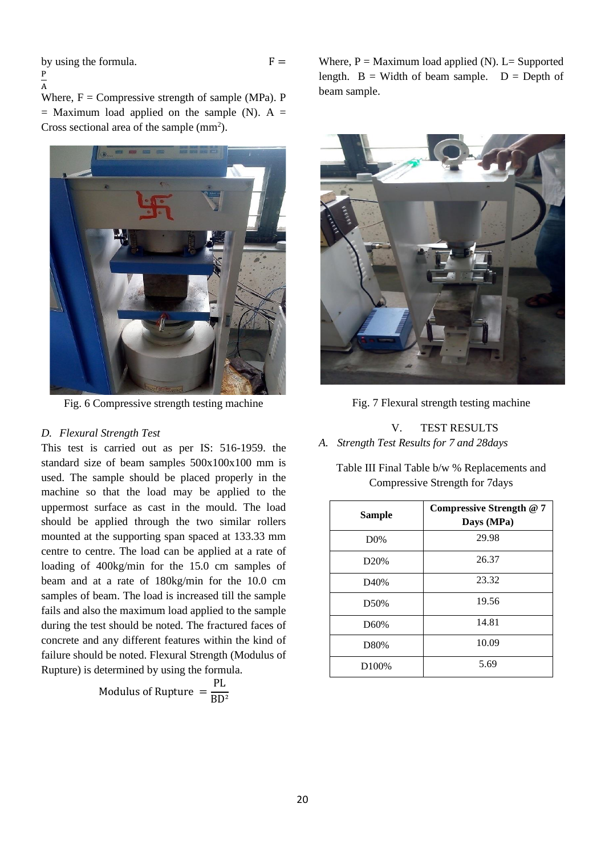by using the formula. P

$$
F =
$$

 $\overline{A}$ Where,  $F =$  Compressive strength of sample (MPa). P  $=$  Maximum load applied on the sample (N). A  $=$ Cross sectional area of the sample  $(mm^2)$ .



Fig. 6 Compressive strength testing machine

## *D. Flexural Strength Test*

This test is carried out as per IS: 516-1959. the standard size of beam samples 500x100x100 mm is used. The sample should be placed properly in the machine so that the load may be applied to the uppermost surface as cast in the mould. The load should be applied through the two similar rollers mounted at the supporting span spaced at 133.33 mm centre to centre. The load can be applied at a rate of loading of 400kg/min for the 15.0 cm samples of beam and at a rate of 180kg/min for the 10.0 cm samples of beam. The load is increased till the sample fails and also the maximum load applied to the sample during the test should be noted. The fractured faces of concrete and any different features within the kind of failure should be noted. Flexural Strength (Modulus of Rupture) is determined by using the formula.

> Modulus of Rupture  $=$ PL BD²

Where,  $P =$  Maximum load applied (N). L= Supported length.  $B = Width of beam sample.$   $D = Depth of$ beam sample.



Fig. 7 Flexural strength testing machine

# V. TEST RESULTS *A. Strength Test Results for 7 and 28days*

Table III Final Table b/w % Replacements and Compressive Strength for 7days

| <b>Sample</b>      | Compressive Strength @ 7<br>Days (MPa) |
|--------------------|----------------------------------------|
| D0%                | 29.98                                  |
| D20%               | 26.37                                  |
| D40%               | 23.32                                  |
| D50%               | 19.56                                  |
| D60%               | 14.81                                  |
| D80%               | 10.09                                  |
| D <sub>100</sub> % | 5.69                                   |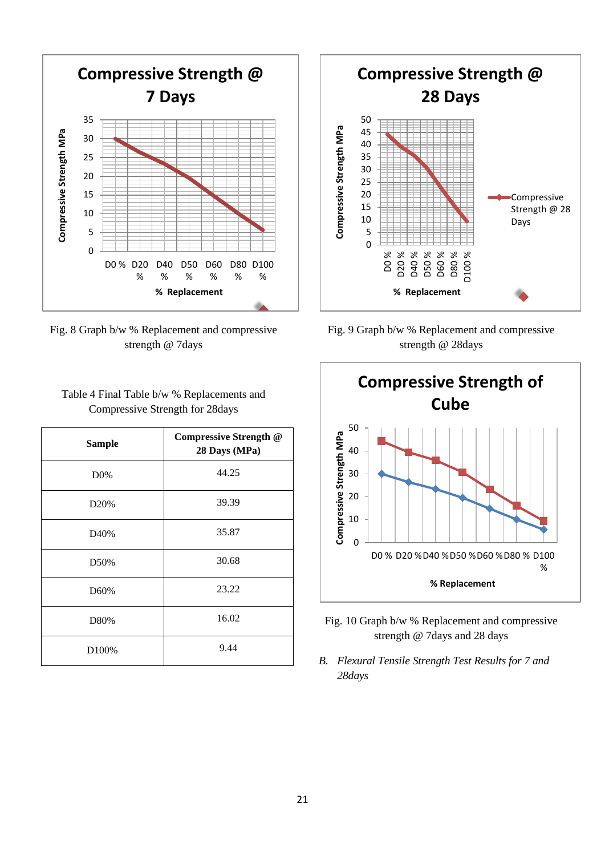

Fig. 8 Graph b/w % Replacement and compressive strength @ 7days

Table 4 Final Table b/w % Replacements and Compressive Strength for 28days

| <b>Sample</b>    | Compressive Strength @<br>28 Days (MPa) |
|------------------|-----------------------------------------|
| D0%              | 44.25                                   |
| D <sub>20%</sub> | 39.39                                   |
| D40%             | 35.87                                   |
| D50%             | 30.68                                   |
| D60%             | 23.22                                   |
| D80%             | 16.02                                   |
| D100%            | 9.44                                    |



Fig. 9 Graph b/w % Replacement and compressive strength @ 28days



- Fig. 10 Graph b/w % Replacement and compressive strength @ 7days and 28 days
- *B. Flexural Tensile Strength Test Results for 7 and 28days*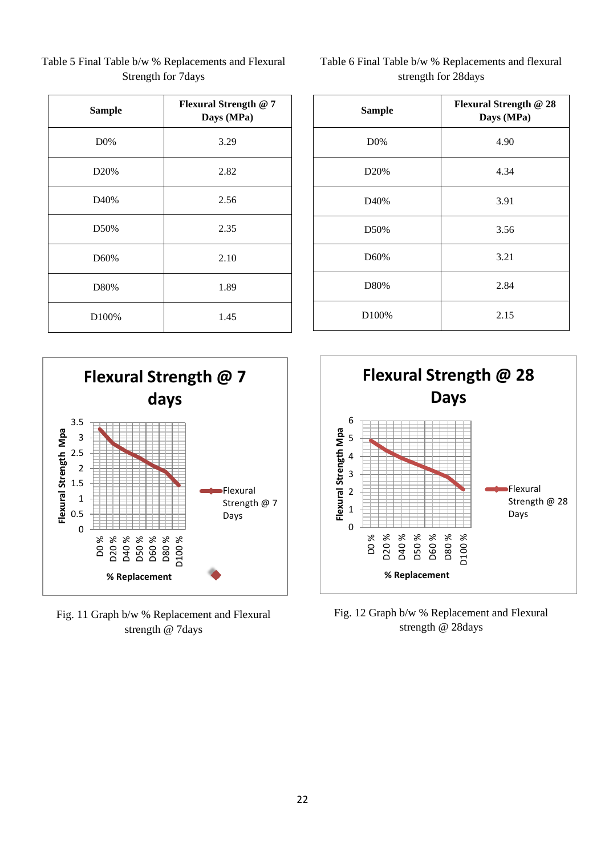| <b>Sample</b> | Flexural Strength @ 7<br>Days (MPa) |
|---------------|-------------------------------------|
| D0%           | 3.29                                |
| D20%          | 2.82                                |
| D40%          | 2.56                                |
| D50%          | 2.35                                |
| D60%          | 2.10                                |
| D80%          | 1.89                                |
| D100%         | 1.45                                |

Table 5 Final Table b/w % Replacements and Flexural Strength for 7days

| Table 6 Final Table b/w % Replacements and flexural |
|-----------------------------------------------------|
| strength for 28 days                                |

| <b>Sample</b>    | Flexural Strength @ 28<br>Days (MPa) |
|------------------|--------------------------------------|
| D0%              | 4.90                                 |
| D <sub>20%</sub> | 4.34                                 |
| D40%             | 3.91                                 |
| D50%             | 3.56                                 |
| D60%             | 3.21                                 |
| D80%             | 2.84                                 |
| D100%            | 2.15                                 |



Fig. 11 Graph b/w % Replacement and Flexural strength @ 7days



Fig. 12 Graph b/w % Replacement and Flexural strength @ 28days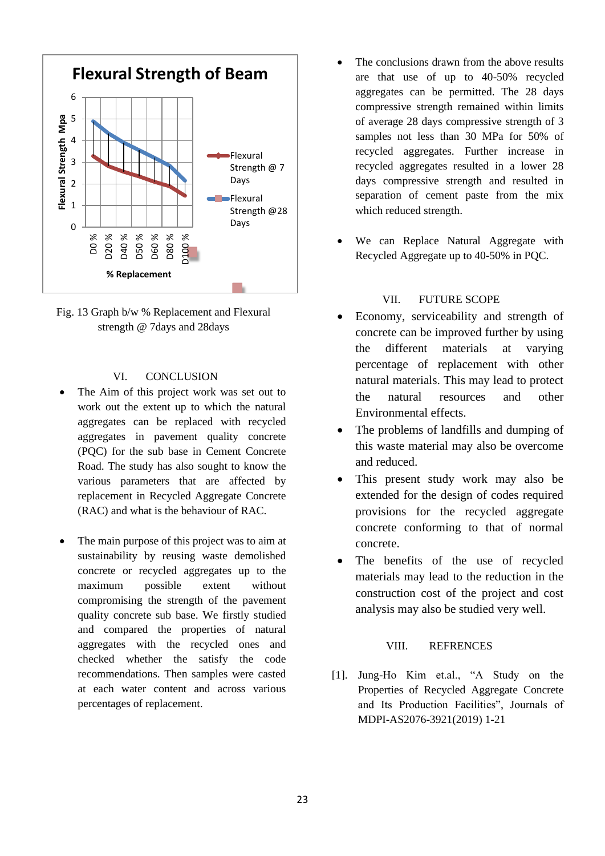



# VI. CONCLUSION

- The Aim of this project work was set out to work out the extent up to which the natural aggregates can be replaced with recycled aggregates in pavement quality concrete (PQC) for the sub base in Cement Concrete Road. The study has also sought to know the various parameters that are affected by replacement in Recycled Aggregate Concrete (RAC) and what is the behaviour of RAC.
- The main purpose of this project was to aim at sustainability by reusing waste demolished concrete or recycled aggregates up to the maximum possible extent without compromising the strength of the pavement quality concrete sub base. We firstly studied and compared the properties of natural aggregates with the recycled ones and checked whether the satisfy the code recommendations. Then samples were casted at each water content and across various percentages of replacement.
- The conclusions drawn from the above results are that use of up to 40-50% recycled aggregates can be permitted. The 28 days compressive strength remained within limits of average 28 days compressive strength of 3 samples not less than 30 MPa for 50% of recycled aggregates. Further increase in recycled aggregates resulted in a lower 28 days compressive strength and resulted in separation of cement paste from the mix which reduced strength.
- We can Replace Natural Aggregate with Recycled Aggregate up to 40-50% in PQC.

#### VII. FUTURE SCOPE

- Economy, serviceability and strength of concrete can be improved further by using the different materials at varying percentage of replacement with other natural materials. This may lead to protect the natural resources and other Environmental effects.
- The problems of landfills and dumping of this waste material may also be overcome and reduced.
- This present study work may also be extended for the design of codes required provisions for the recycled aggregate concrete conforming to that of normal concrete.
- The benefits of the use of recycled materials may lead to the reduction in the construction cost of the project and cost analysis may also be studied very well.

#### VIII. REFRENCES

[1]. Jung-Ho Kim et.al., "A Study on the Properties of Recycled Aggregate Concrete and Its Production Facilities", Journals of MDPI-AS2076-3921(2019) 1-21